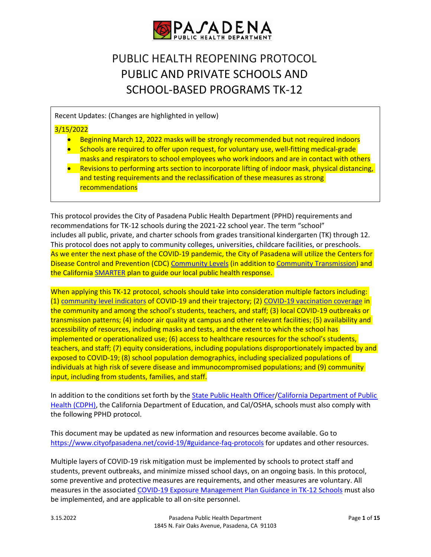

# PUBLIC HEALTH REOPENING PROTOCOL PUBLIC AND PRIVATE SCHOOLS AND SCHOOL-BASED PROGRAMS TK-12

Recent Updates: (Changes are highlighted in yellow)

# 3/15/2022

- Beginning March 12, 2022 masks will be strongly recommended but not required indoors
- Schools are required to offer upon request, for voluntary use, well-fitting medical-grade masks and respirators to school employees who work indoors and are in contact with others
- Revisions to performing arts section to incorporate lifting of indoor mask, physical distancing, and testing requirements and the reclassification of these measures as strong recommendations

This protocol provides the City of Pasadena Public Health Department (PPHD) requirements and recommendations for TK-12 schools during the 2021-22 school year. The term "school" includes all public, private, and charter schools from grades transitional kindergarten (TK) through 12. This protocol does not apply to community colleges, universities, childcare facilities, or preschools. As we enter the next phase of the COVID-19 pandemic, the City of Pasadena will utilize the Centers for Disease Control and Prevention (CDC) [Community Levels](https://www.cdc.gov/coronavirus/2019-ncov/science/community-levels.html) (in addition to [Community Transmission\)](https://covid.cdc.gov/covid-data-tracker/#county-view?list_select_state=all_states&list_select_county=all_counties&data-type=Risk) and the Californi[a SMARTER](https://covid19.ca.gov/smarter/) plan to guide our local public health response.

When applying this TK-12 protocol, schools should take into consideration multiple factors including: (1) [community level indicators](https://www.cdc.gov/coronavirus/2019-ncov/your-health/covid-by-county.html) of COVID-19 and their trajectory; (2) [COVID-19 vaccination coverage](https://pasgis.maps.arcgis.com/apps/dashboards/da93fa3eb0064d91a72be3c67d22aca8) in the community and among the school's students, teachers, and staff; (3) local COVID-19 outbreaks or transmission patterns; (4) indoor air quality at campus and other relevant facilities; (5) availability and accessibility of resources, including masks and tests, and the extent to which the school has implemented or operationalized use; (6) access to healthcare resources for the school's students, teachers, and staff; (7) equity considerations, including populations disproportionately impacted by and exposed to COVID-19; (8) school population demographics, including specialized populations of individuals at high risk of severe disease and immunocompromised populations; and (9) community input, including from students, families, and staff.

In addition to the conditions set forth by th[e State Public Health Officer](https://www.cdph.ca.gov/Programs/CID/DCDC/Pages/COVID-19/guidance-for-face-coverings.aspx)[/California Department of Public](https://www.cdph.ca.gov/Programs/CID/DCDC/Pages/COVID-19/K-12-Guidance-2021-22-School-Year.aspx)  [Health \(CDPH\),](https://www.cdph.ca.gov/Programs/CID/DCDC/Pages/COVID-19/K-12-Guidance-2021-22-School-Year.aspx) the California Department of Education, and Cal/OSHA, schools must also comply with the following PPHD protocol.

This document may be updated as new information and resources become available. Go to <https://www.cityofpasadena.net/covid-19/#guidance-faq-protocols> for updates and other resources.

Multiple layers of COVID-19 risk mitigation must be implemented by schools to protect staff and students, prevent outbreaks, and minimize missed school days, on an ongoing basis. In this protocol, some preventive and protective measures are requirements, and other measures are voluntary. All measures in the associated [COVID-19 Exposure Management Plan Guidance in TK-12 Schools](https://www.cityofpasadena.net/public-health/wp-content/uploads/sites/32/Exposure-management-plan.pdf) must also be implemented, and are applicable to all on-site personnel.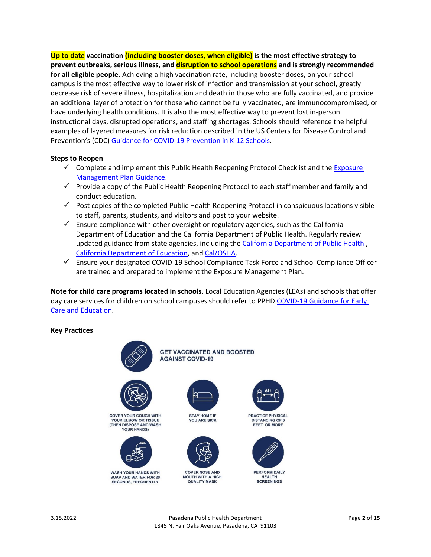**Up to date vaccination (including booster doses, when eligible) is the most effective strategy to prevent outbreaks, serious illness, and disruption to school operations and is strongly recommended for all eligible people.** Achieving a high vaccination rate, including booster doses, on your school campus is the most effective way to lower risk of infection and transmission at your school, greatly decrease risk of severe illness, hospitalization and death in those who are fully vaccinated, and provide an additional layer of protection for those who cannot be fully vaccinated, are immunocompromised, or have underlying health conditions. It is also the most effective way to prevent lost in-person instructional days, disrupted operations, and staffing shortages. Schools should reference the helpful examples of layered measures for risk reduction described in the US Centers for Disease Control and Prevention's (CDC) [Guidance for COVID-19 Prevention in K-12 Schools.](https://www.cdc.gov/coronavirus/2019-ncov/community/schools-childcare/k-12-guidance.html)

## **Steps to Reopen**

- $\checkmark$  Complete and implement this Public Health Reopening Protocol Checklist and the Exposure [Management Plan Guidance.](https://www.cityofpasadena.net/public-health/wp-content/uploads/sites/32/Exposure-management-plan.pdf)
- $\checkmark$  Provide a copy of the Public Health Reopening Protocol to each staff member and family and conduct education.
- $\checkmark$  Post copies of the completed Public Health Reopening Protocol in conspicuous locations visible to staff, parents, students, and visitors and post to your website.
- $\checkmark$  Ensure compliance with other oversight or regulatory agencies, such as the California Department of Education and the California Department of Public Health. Regularly review updated guidance from state agencies, including th[e California Department of Public Health](https://www.cdph.ca.gov/Programs/CID/DCDC/Pages/Guidance.aspx) , [California Department of Education,](https://www.cde.ca.gov/ls/he/hn/coronavirus.asp) and [Cal/OSHA.](https://www.dir.ca.gov/dosh/coronavirus/ETS.html)
- Ensure your designated COVID-19 School Compliance Task Force and School Compliance Officer are trained and prepared to implement the Exposure Management Plan.

**Note for child care programs located in schools.** Local Education Agencies (LEAs) and schools that offer day care services for children on school campuses should refer to PPHD [COVID-19 Guidance for Early](https://www.cityofpasadena.net/public-health/covid-19-ece/)  Care [and Education.](https://www.cityofpasadena.net/public-health/covid-19-ece/)

#### **Key Practices**

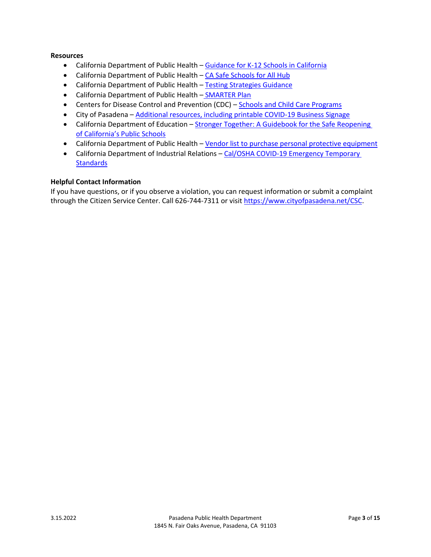# **Resources**

- California Department of Public Health [Guidance for K-12 Schools in California](https://www.cdph.ca.gov/Programs/CID/DCDC/Pages/COVID-19/K-12-Guidance-2021-22-School-Year.aspx)
- California Department of Public Health [CA Safe Schools for All Hub](https://schools.covid19.ca.gov/)
- California Department of Public Health [Testing Strategies Guidance](https://testing.covid19.ca.gov/wp-content/uploads/sites/332/2021/07/School-Testing-Considerations.pdf)
- California Department of Public Health [SMARTER](https://covid19.ca.gov/smarter/) Plan
- Centers for Disease Control and Prevention (CDC) [Schools and Child Care Programs](https://www.cdc.gov/coronavirus/2019-ncov/community/schools-childcare/index.html)
- City of Pasadena [Additional resources, including printable COVID-19 Business Signage](https://www.cityofpasadena.net/economicdevelopment/covid-19-business-resources/)
- California Department of Education Stronger Together: A Guidebook for the Safe Reopening [of California's Public Schools](https://www.cde.ca.gov/ls/he/hn/documents/strongertogether.pdf)
- California Department of Public Health [Vendor list to purchase personal protective equipment](https://www.safelymakingca.org/)
- California Department of Industrial Relations Cal/OSHA COVID-19 Emergency Temporary **[Standards](https://www.dir.ca.gov/dosh/coronavirus/ETS.html)**

# **Helpful Contact Information**

If you have questions, or if you observe a violation, you can request information or submit a complaint through the Citizen Service Center. Call 626-744-7311 or visi[t https://www.cityofpasadena.net/CSC.](https://www.cityofpasadena.net/CSC)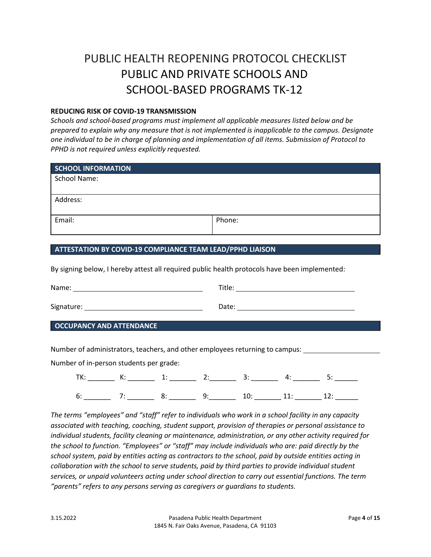# PUBLIC HEALTH REOPENING PROTOCOL CHECKLIST PUBLIC AND PRIVATE SCHOOLS AND SCHOOL-BASED PROGRAMS TK-12

### **REDUCING RISK OF COVID-19 TRANSMISSION**

*Schools and school-based programs must implement all applicable measures listed below and be prepared to explain why any measure that is not implemented is inapplicable to the campus. Designate one individual to be in charge of planning and implementation of all items. Submission of Protocol to PPHD is not required unless explicitly requested.*

| SCHOOL INFORMATION |        |
|--------------------|--------|
| School Name:       |        |
|                    |        |
| Address:           |        |
|                    |        |
| Email:             | Phone: |
|                    |        |

# **ATTESTATION BY COVID-19 COMPLIANCE TEAM LEAD/PPHD LIAISON**

By signing below, I hereby attest all required public health protocols have been implemented:

| Name:                           | Title:                                                                                                                   |
|---------------------------------|--------------------------------------------------------------------------------------------------------------------------|
|                                 | Date:<br>the contract of the contract of the contract of the contract of the contract of the contract of the contract of |
| <b>OCCUPANCY AND ATTENDANCE</b> |                                                                                                                          |

Number of administrators, teachers, and other employees returning to campus:

Number of in-person students per grade:

| h |  |  |  |
|---|--|--|--|

*The terms "employees" and "staff" refer to individuals who work in a school facility in any capacity associated with teaching, coaching, student support, provision of therapies or personal assistance to individual students, facility cleaning or maintenance, administration, or any other activity required for the school to function. "Employees" or "staff" may include individuals who are: paid directly by the school system, paid by entities acting as contractors to the school, paid by outside entities acting in collaboration with the school to serve students, paid by third parties to provide individual student services, or unpaid volunteers acting under school direction to carry out essential functions. The term "parents" refers to any persons serving as caregivers or guardians to students.*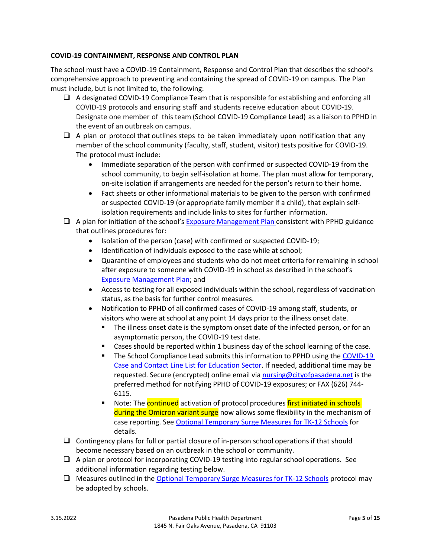# **COVID-19 CONTAINMENT, RESPONSE AND CONTROL PLAN**

The school must have a COVID-19 Containment, Response and Control Plan that describes the school's comprehensive approach to preventing and containing the spread of COVID-19 on campus. The Plan must include, but is not limited to, the following:

- $\Box$  A designated COVID-19 Compliance Team that is responsible for establishing and enforcing all COVID-19 protocols and ensuring staff and students receive education about COVID-19. Designate one member of this team (School COVID-19 Compliance Lead) as a liaison to PPHD in the event of an outbreak on campus.
- $\Box$  A plan or protocol that outlines steps to be taken immediately upon notification that any member of the school community (faculty, staff, student, visitor) tests positive for COVID-19. The protocol must include:
	- Immediate separation of the person with confirmed or suspected COVID-19 from the school community, to begin self-isolation at home. The plan must allow for temporary, on-site isolation if arrangements are needed for the person's return to their home.
	- Fact sheets or other informational materials to be given to the person with confirmed or suspected COVID-19 (or appropriate family member if a child), that explain selfisolation requirements and include links to sites for further information.
- $\Box$  A plan for initiation of the school's [Exposure Management Plan](https://www.cityofpasadena.net/public-health/wp-content/uploads/sites/32/Exposure-management-plan.pdf) consistent with PPHD guidance that outlines procedures for:
	- Isolation of the person (case) with confirmed or suspected COVID-19;
	- Identification of individuals exposed to the case while at school;
	- Quarantine of employees and students who do not meet criteria for remaining in school after exposure to someone with COVID-19 in school as described in the school's [Exposure Management Plan;](https://www.cityofpasadena.net/public-health/wp-content/uploads/sites/32/Exposure-management-plan.pdf?v=1641242806349) and
	- Access to testing for all exposed individuals within the school, regardless of vaccination status, as the basis for further control measures.
	- Notification to PPHD of all confirmed cases of COVID-19 among staff, students, or visitors who were at school at any point 14 days prior to the illness onset date.
		- The illness onset date is the symptom onset date of the infected person, or for an asymptomatic person, the COVID-19 test date.
		- **Example 2** Cases should be reported within 1 business day of the school learning of the case.
		- The School Compliance Lead submits this information to PPHD using the COVID-19 [Case and Contact Line List for Education Sector.](https://www.cityofpasadena.net/public-health/wp-content/uploads/sites/32/COVID-19-Line-List-Template-for-Education-Institutions.xlsx) If needed, additional time may be requested. Secure (encrypted) online email via [nursing@cityofpasadena.net](mailto:nursing@cityofpasadena.net) is the preferred method for notifying PPHD of COVID-19 exposures; or FAX (626) 744- 6115.
		- Note: The **continued** activation of protocol procedures *first initiated in schools* during the Omicron variant surge now allows some flexibility in the mechanism of case reporting. See [Optional Temporary Surge Measures for TK-12 Schools](https://www.cityofpasadena.net/public-health/wp-content/uploads/sites/32/Temporary-Surge-Measures-K-12-Schools.pdf?v=1643905208735) for details.
- $\Box$  Contingency plans for full or partial closure of in-person school operations if that should become necessary based on an outbreak in the school or community.
- $\Box$  A plan or protocol for incorporating COVID-19 testing into regular school operations. See additional information regarding testing below.
- $\Box$  Measures outlined in the [Optional Temporary Surge Measures for TK-12 Schools](https://www.cityofpasadena.net/public-health/wp-content/uploads/sites/32/Temporary-Surge-Measures-K-12-Schools.pdf?v=1642630730982) protocol may be adopted by schools.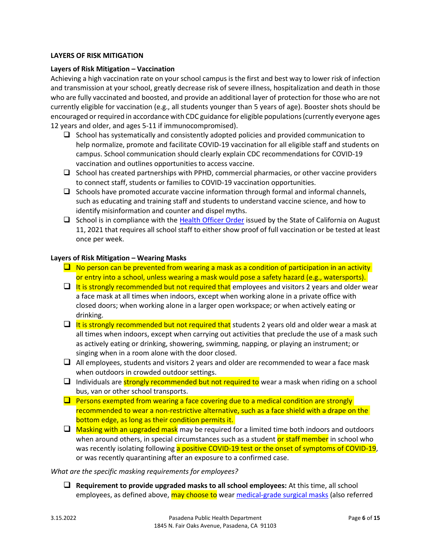# **LAYERS OF RISK MITIGATION**

## **Layers of Risk Mitigation – Vaccination**

Achieving a high vaccination rate on your school campus is the first and best way to lower risk of infection and transmission at your school, greatly decrease risk of severe illness, hospitalization and death in those who are fully vaccinated and boosted, and provide an additional layer of protection for those who are not currently eligible for vaccination (e.g., all students younger than 5 years of age). Booster shots should be encouraged or required in accordance with CDC guidance for eligible populations (currently everyone ages 12 years and older, and ages 5-11 if immunocompromised).

- $\Box$  School has systematically and consistently adopted policies and provided communication to help normalize, promote and facilitate COVID-19 vaccination for all eligible staff and students on campus. School communication should clearly explain CDC recommendations for COVID-19 vaccination and outlines opportunities to access vaccine.
- $\Box$  School has created partnerships with PPHD, commercial pharmacies, or other vaccine providers to connect staff, students or families to COVID-19 vaccination opportunities.
- $\Box$  Schools have promoted accurate vaccine information through formal and informal channels, such as educating and training staff and students to understand vaccine science, and how to identify misinformation and counter and dispel myths.
- $\Box$  School is in compliance with the [Health Officer Order](https://www.cdph.ca.gov/Programs/CID/DCDC/Pages/COVID-19/Order-of-the-State-Public-Health-Officer-Vaccine-Verification-for-Workers-in-Schools.aspx) issued by the State of California on August 11, 2021 that requires all school staff to either show proof of full vaccination or be tested at least once per week.

## **Layers of Risk Mitigation – Wearing Masks**

- $\Box$  No person can be prevented from wearing a mask as a condition of participation in an activity or entry into a school, unless wearing a mask would pose a safety hazard (e.g., watersports).
- $\Box$  It is strongly recommended but not required that employees and visitors 2 years and older wear a face mask at all times when indoors, except when working alone in a private office with closed doors; when working alone in a larger open workspace; or when actively eating or drinking.
- $\Box$  It is strongly recommended but not required that students 2 years old and older wear a mask at all times when indoors, except when carrying out activities that preclude the use of a mask such as actively eating or drinking, showering, swimming, napping, or playing an instrument; or singing when in a room alone with the door closed.
- $\Box$  All employees, students and visitors 2 years and older are recommended to wear a face mask when outdoors in crowded outdoor settings.
- $\Box$  Individuals are strongly recommended but not required to wear a mask when riding on a school bus, van or other school transports.
- $\Box$  Persons exempted from wearing a face covering due to a medical condition are strongly recommended to wear a non-restrictive alternative, such as a face shield with a drape on the bottom edge, as long as their condition permits it.
- $\Box$  Masking with an upgraded mask may be required for a limited time both indoors and outdoors when around others, in special circumstances such as a student or staff member in school who was recently isolating following a positive COVID-19 test or the onset of symptoms of COVID-19, or was recently quarantining after an exposure to a confirmed case.

#### *What are the specific masking requirements for employees?*

 **Requirement to provide upgraded masks to all school employees:** At this time, all school employees, as defined above, may choose to wear [medical-grade surgical masks](https://www.cdc.gov/coronavirus/2019-ncov/your-health/effective-masks.html) (also referred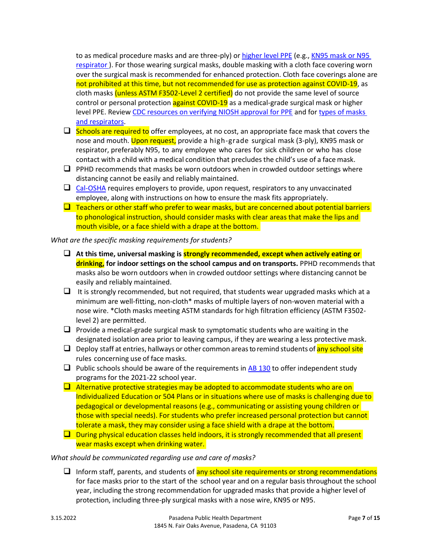to as medical procedure masks and are three-ply) or [higher level PPE](https://www.cdc.gov/coronavirus/2019-ncov/hcp/respirator-use-faq.html) (e.g., [KN95 mask or N95](https://www.cdc.gov/niosh/npptl/pdfs/understanddifferenceinfographic-508.pdf)  respirator). For those wearing surgical masks, double masking with a cloth face covering worn over the surgical mask is recommended for enhanced protection. Cloth face coverings alone are not prohibited at this time, but not recommended for use as protection against COVID-19, as cloth masks (unless ASTM F3502-Level 2 certified) do not provide the same level of source control or personal protection against COVID-19 as a medical-grade surgical mask or higher level PPE. Review [CDC resources on verifying NIOSH approval for PPE](https://www.cdc.gov/niosh/npptl/usernotices/counterfeitResp.html) and for types of masks [and respirators.](https://www.cdc.gov/coronavirus/2019-ncov/prevent-getting-sick/types-of-masks.html)

- $\Box$  Schools are required to offer employees, at no cost, an appropriate face mask that covers the nose and mouth. Upon request, provide a high-grade surgical mask (3-ply), KN95 mask or respirator, preferably N95, to any employee who cares for sick children or who has close contact with a child with a medical condition that precludes the child's use of a facemask.
- $\Box$  PPHD recommends that masks be worn outdoors when in crowded outdoor settings where distancing cannot be easily and reliably maintained.
- $\Box$  [Cal-OSHA](https://www.dir.ca.gov/dosh/coronavirus/ETS.html) requires employers to provide, upon request, respirators to any unvaccinated employee, along with instructions on how to ensure the mask fits appropriately.
- $\Box$  Teachers or other staff who prefer to wear masks, but are concerned about potential barriers to phonological instruction, should consider masks with clear areas that make the lips and mouth visible, or a face shield with a drape at the bottom.

*What are the specific masking requirements for students?*

- **At this time, universal masking is strongly recommended, except when actively eating or drinking, for indoor settings on the school campus and on transports.** PPHD recommends that masks also be worn outdoors when in crowded outdoor settings where distancing cannot be easily and reliably maintained.
- $\Box$  It is strongly recommended, but not required, that students wear upgraded masks which at a minimum are well-fitting, non-cloth\* masks of multiple layers of non-woven material with a nose wire. \*Cloth masks meeting ASTM standards for high filtration efficiency (ASTM F3502 level 2) are permitted.
- $\Box$  Provide a medical-grade surgical mask to symptomatic students who are waiting in the designated isolation area prior to leaving campus, if they are wearing a less protective mask.
- $\Box$  Deploy staff at entries, hallways or other common areas to remind students of any school site rules concerning use of face masks.
- $\Box$  Public schools should be aware of the requirements i[n AB 130](https://www.cde.ca.gov/sp/eo/is/changesisab130.asp) to offer independent study programs for the 2021-22 school year.
- $\Box$  Alternative protective strategies may be adopted to accommodate students who are on Individualized Education or 504 Plans or in situations where use of masks is challenging due to pedagogical or developmental reasons (e.g., communicating or assisting young children or those with special needs). For students who prefer increased personal protection but cannot tolerate a mask, they may consider using a face shield with a drape at the bottom.
- $\Box$  During physical education classes held indoors, it is strongly recommended that all present wear masks except when drinking water.

# *What should be communicated regarding use and care of masks?*

 $\Box$  Inform staff, parents, and students of any school site requirements or strong recommendations for face masks prior to the start of the school year and on a regular basisthroughout the school year, including the strong recommendation for upgraded masks that provide a higher level of protection, including three-ply surgical masks with a nose wire, KN95 or N95.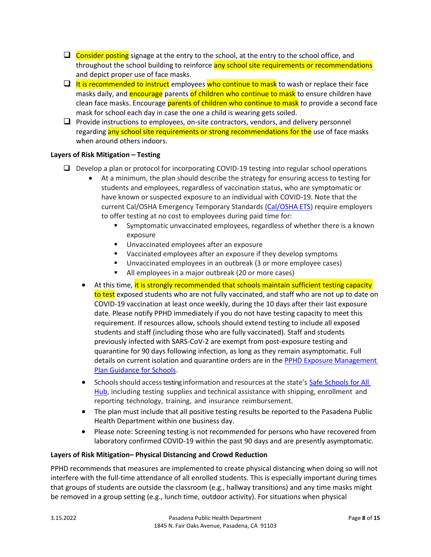- $\Box$  Consider posting signage at the entry to the school, at the entry to the school office, and throughout the school building to reinforce any school site requirements or recommendations and depict proper use of face masks.
- $\Box$  It is recommended to instruct employees who continue to mask to wash or replace their face masks daily, and **encourage** parents of children who continue to mask to ensure children have clean face masks. Encourage parents of children who continue to mask to provide a second face mask for school each day in case the one a child is wearing gets soiled.
- $\Box$  Provide instructions to employees, on-site contractors, vendors, and delivery personnel regarding any school site requirements or strong recommendations for the use of face masks when around others indoors.

# **Layers of Risk Mitigation – Testing**

- $\Box$  Develop a plan or protocol for incorporating COVID-19 testing into regular school operations
	- At a minimum, the plan should describe the strategy for ensuring access to testing for students and employees, regardless of vaccination status, who are symptomatic or have known or suspected exposure to an individual with COVID-19. Note that the current Cal/OSHA Emergency Temporary Standards [\(Cal/OSHA](https://www.dir.ca.gov/dosh/coronavirus/ETS.html) ETS) require employers to offer testing at no cost to employees during paid time for:
		- Symptomatic unvaccinated employees, regardless of whether there is a known exposure
		- **Unvaccinated employees after an exposure**
		- Vaccinated employees after an exposure if they develop symptoms
		- Unvaccinated employees in an outbreak (3 or more employee cases)
		- All employees in a major outbreak (20 or more cases)
	- At this time, it is strongly recommended that schools maintain sufficient testing capacity to test exposed students who are not fully vaccinated, and staff who are not up to date on COVID-19 vaccination at least once weekly, during the 10 days after their last exposure date. Please notify PPHD immediately if you do not have testing capacity to meet this requirement. If resources allow, schools should extend testing to include all exposed students and staff (including those who are fully vaccinated). Staff and students previously infected with SARS-CoV-2 are exempt from post-exposure testing and quarantine for 90 days following infection, as long as they remain asymptomatic. Full details on current isolation and quarantine orders are in the [PPHD Exposure Management](https://www.cityofpasadena.net/public-health/wp-content/uploads/sites/32/Exposure-management-plan.pdf?v=1641253646397)  [Plan Guidance for Schools.](https://www.cityofpasadena.net/public-health/wp-content/uploads/sites/32/Exposure-management-plan.pdf?v=1641253646397)
	- [Schools](https://schools.covid19.ca.gov/) should access testing information and resources at the state's Safe Schools for All [Hub,](https://schools.covid19.ca.gov/) including testing supplies and technical assistance with shipping, enrollment and reporting technology, training, and insurance reimbursement.
	- The plan must include that all positive testing results be reported to the Pasadena Public Health Department within one business day.
	- Please note: Screening testing is not recommended for persons who have recovered from laboratory confirmed COVID-19 within the past 90 days and are presently asymptomatic.

# **Layers of Risk Mitigation– Physical Distancing and Crowd Reduction**

PPHD recommends that measures are implemented to create physical distancing when doing so will not interfere with the full-time attendance of all enrolled students. This is especially important during times that groups of students are outside the classroom (e.g., hallway transitions) and any time masks might be removed in a group setting (e.g., lunch time, outdoor activity). For situations when physical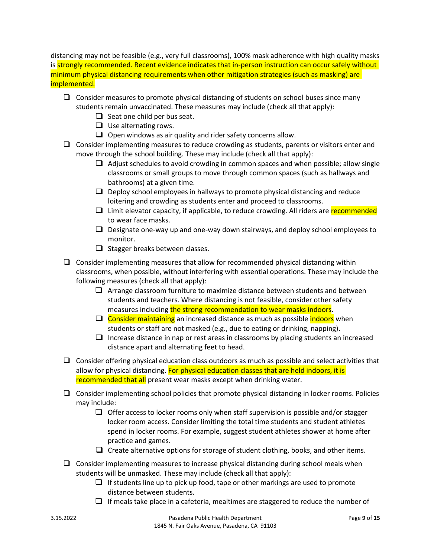distancing may not be feasible (e.g., very full classrooms), 100% mask adherence with high quality masks is strongly recommended. Recent evidence indicates that in-person instruction can occur safely without minimum physical distancing requirements when other mitigation strategies (such as masking) are implemented.

- $\Box$  Consider measures to promote physical distancing of students on school buses since many students remain unvaccinated. These measures may include (check all that apply):
	- $\Box$  Seat one child per bus seat.
	- $\Box$  Use alternating rows.
	- $\Box$  Open windows as air quality and rider safety concerns allow.
- $\Box$  Consider implementing measures to reduce crowding as students, parents or visitors enter and move through the school building. These may include (check all that apply):
	- $\Box$  Adjust schedules to avoid crowding in common spaces and when possible; allow single classrooms or small groups to move through common spaces (such as hallways and bathrooms) at a given time.
	- $\Box$  Deploy school employees in hallways to promote physical distancing and reduce loitering and crowding as students enter and proceed to classrooms.
	- $\Box$  Limit elevator capacity, if applicable, to reduce crowding. All riders are recommended to wear face masks.
	- $\Box$  Designate one-way up and one-way down stairways, and deploy school employees to monitor.
	- $\Box$  Stagger breaks between classes.
- $\Box$  Consider implementing measures that allow for recommended physical distancing within classrooms, when possible, without interfering with essential operations. These may include the following measures (check all that apply):
	- $\Box$  Arrange classroom furniture to maximize distance between students and between students and teachers. Where distancing is not feasible, consider other safety measures including the strong recommendation to wear masks indoors.
	- $\Box$  Consider maintaining an increased distance as much as possible indoors when students or staff are not masked (e.g., due to eating or drinking, napping).
	- $\Box$  Increase distance in nap or rest areas in classrooms by placing students an increased distance apart and alternating feet to head.
- $\Box$  Consider offering physical education class outdoors as much as possible and select activities that allow for physical distancing. For physical education classes that are held indoors, it is recommended that all present wear masks except when drinking water.
- $\Box$  Consider implementing school policies that promote physical distancing in locker rooms. Policies may include:
	- $\Box$  Offer access to locker rooms only when staff supervision is possible and/or stagger locker room access. Consider limiting the total time students and student athletes spend in locker rooms. For example, suggest student athletes shower at home after practice and games.
	- $\Box$  Create alternative options for storage of student clothing, books, and other items.
- $\Box$  Consider implementing measures to increase physical distancing during school meals when students will be unmasked. These may include (check all that apply):
	- $\Box$  If students line up to pick up food, tape or other markings are used to promote distance between students.
	- $\Box$  If meals take place in a cafeteria, mealtimes are staggered to reduce the number of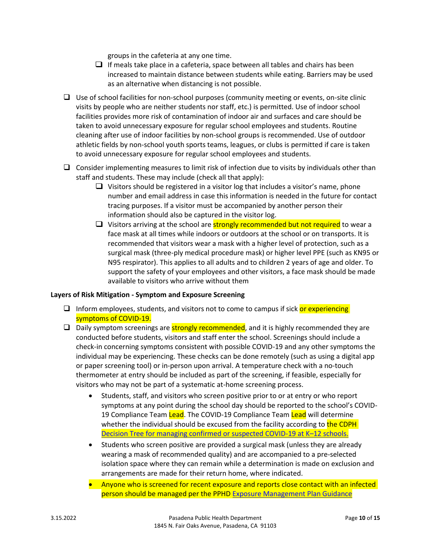groups in the cafeteria at any one time.

- $\Box$  If meals take place in a cafeteria, space between all tables and chairs has been increased to maintain distance between students while eating. Barriers may be used as an alternative when distancing is not possible.
- $\Box$  Use of school facilities for non-school purposes (community meeting or events, on-site clinic visits by people who are neither students nor staff, etc.) is permitted. Use of indoor school facilities provides more risk of contamination of indoor air and surfaces and care should be taken to avoid unnecessary exposure for regular school employees and students. Routine cleaning after use of indoor facilities by non-school groups is recommended. Use of outdoor athletic fields by non-school youth sports teams, leagues, or clubs is permitted if care is taken to avoid unnecessary exposure for regular school employees and students.
- $\Box$  Consider implementing measures to limit risk of infection due to visits by individuals other than staff and students. These may include (check all that apply):
	- $\Box$  Visitors should be registered in a visitor log that includes a visitor's name, phone number and email address in case this information is needed in the future for contact tracing purposes. If a visitor must be accompanied by another person their information should also be captured in the visitor log.
	- $\Box$  Visitors arriving at the school are strongly recommended but not required to wear a face mask at all times while indoors or outdoors at the school or on transports. It is recommended that visitors wear a mask with a higher level of protection, such as a surgical mask (three-ply medical procedure mask) or higher level PPE (such as KN95 or N95 respirator). This applies to all adults and to children 2 years of age and older. To support the safety of your employees and other visitors, a face mask should be made available to visitors who arrive without them

#### **Layers of Risk Mitigation - Symptom and Exposure Screening**

- $\Box$  Inform employees, students, and visitors not to come to campus if sick or experiencing symptoms of COVID-19.
- $\Box$  Daily symptom screenings are **strongly recommended**, and it is highly recommended they are conducted before students, visitors and staff enter the school. Screenings should include a check-in concerning symptoms consistent with possible COVID-19 and any other symptoms the individual may be experiencing. These checks can be done remotely (such as using a digital app or paper screening tool) or in-person upon arrival. A temperature check with a no-touch thermometer at entry should be included as part of the screening, if feasible, especially for visitors who may not be part of a systematic at-home screening process.
	- Students, staff, and visitors who screen positive prior to or at entry or who report symptoms at any point during the school day should be reported to the school's COVID-19 Compliance Team Lead. The COVID-19 Compliance Team Lead will determine whether the individual should be excused from the facility according to the CDPH [Decision Tree for managing confirmed or suspected COVID-19 at K](https://www.cdph.ca.gov/Programs/CID/DCDC/CDPH%20Document%20Library/COVID-19/SS4A/School_Case_Decision_Tree.pdf)–12 schools.
	- Students who screen positive are provided a surgical mask (unless they are already wearing a mask of recommended quality) and are accompanied to a pre-selected isolation space where they can remain while a determination is made on exclusion and arrangements are made for their return home, where indicated.
	- Anyone who is screened for recent exposure and reports close contact with an infected person should be managed per the PPHD [Exposure Management Plan Guidance](https://www.cityofpasadena.net/public-health/wp-content/uploads/sites/32/Exposure-management-plan.pdf?v=1628014946193)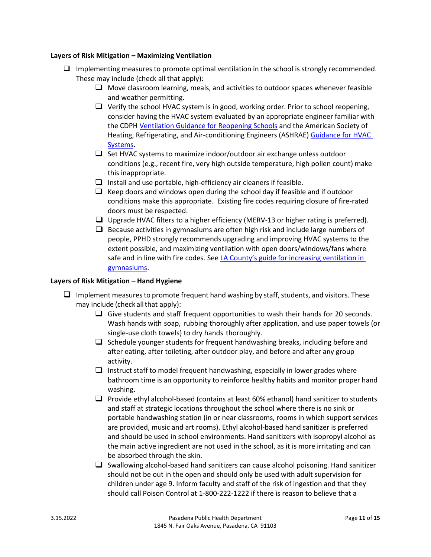## **Layers of Risk Mitigation – Maximizing Ventilation**

- $\Box$  Implementing measures to promote optimal ventilation in the school is strongly recommended. These may include (check all that apply):
	- $\Box$  Move classroom learning, meals, and activities to outdoor spaces whenever feasible and weather permitting.
	- $\Box$  Verify the school HVAC system is in good, working order. Prior to school reopening, consider having the HVAC system evaluated by an appropriate engineer familiar with the CDPH [Ventilation Guidance for Reopening Schools](https://www.cdph.ca.gov/Programs/CCDPHP/DEODC/EHLB/IAQ/CDPH%20Document%20Library/School_ventilation_and_filtration_ADA.pdf) and the American Society of Heating, Refrigerating, and Air-conditioning Engineers (ASHRAE) Guidance [for HVAC](https://www.ashrae.org/technical-resources/resources)  [Systems.](https://www.ashrae.org/technical-resources/resources)
	- $\Box$  Set HVAC systems to maximize indoor/outdoor air exchange unless outdoor conditions (e.g., recent fire, very high outside temperature, high pollen count) make this inappropriate.
	- $\Box$  Install and use portable, high-efficiency air cleaners if feasible.
	- $\Box$  Keep doors and windows open during the school day if feasible and if outdoor conditions make this appropriate. Existing fire codes requiring closure of fire-rated doors must be respected.
	- $\Box$  Upgrade HVAC filters to a higher efficiency (MERV-13 or higher rating is preferred).
	- $\Box$  Because activities in gymnasiums are often high risk and include large numbers of people, PPHD strongly recommends upgrading and improving HVAC systems to the extent possible, and maximizing ventilation with open doors/windows/fans where safe and in line with fire codes. See LA County's guide for increasing ventilation in [gymnasiums.](http://publichealth.lacounty.gov/acd/ncorona2019/docs/GymVentilationGuidance.pdf)

#### **Layers of Risk Mitigation – Hand Hygiene**

- $\Box$  Implement measures to promote frequent hand washing by staff, students, and visitors. These may include (check allthat apply):
	- $\Box$  Give students and staff frequent opportunities to wash their hands for 20 seconds. Wash hands with soap, rubbing thoroughly after application, and use paper towels (or single-use cloth towels) to dry hands thoroughly.
	- $\Box$  Schedule younger students for frequent handwashing breaks, including before and after eating, after toileting, after outdoor play, and before and after any group activity.
	- $\Box$  Instruct staff to model frequent handwashing, especially in lower grades where bathroom time is an opportunity to reinforce healthy habits and monitor proper hand washing.
	- **Provide ethyl alcohol-based (contains at least 60% ethanol) hand sanitizer to students** and staff at strategic locations throughout the school where there is no sink or portable handwashing station (in or near classrooms, rooms in which support services are provided, music and art rooms). Ethyl alcohol-based hand sanitizer is preferred and should be used in school environments. Hand sanitizers with isopropyl alcohol as the main active ingredient are not used in the school, as it is more irritating and can be absorbed through the skin.
	- $\Box$  Swallowing alcohol-based hand sanitizers can cause alcohol poisoning. Hand sanitizer should not be out in the open and should only be used with adult supervision for children under age 9. Inform faculty and staff of the risk of ingestion and that they should call Poison Control at 1-800-222-1222 if there is reason to believe that a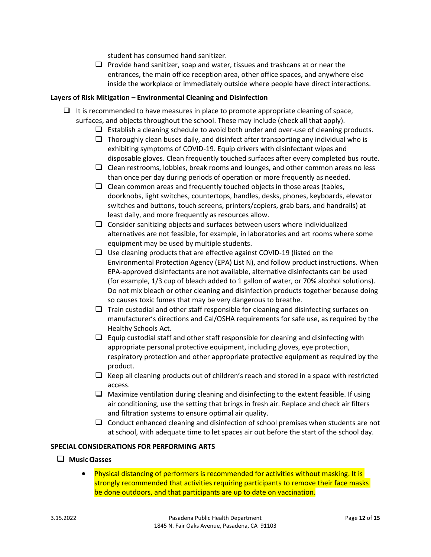student has consumed hand sanitizer.

 $\Box$  Provide hand sanitizer, soap and water, tissues and trashcans at or near the entrances, the main office reception area, other office spaces, and anywhere else inside the workplace or immediately outside where people have direct interactions.

## **Layers of Risk Mitigation – Environmental Cleaning and Disinfection**

- $\Box$  It is recommended to have measures in place to promote appropriate cleaning of space, surfaces, and objects throughout the school. These may include (check all that apply).
	- $\Box$  Establish a cleaning schedule to avoid both under and over-use of cleaning products.
	- $\Box$  Thoroughly clean buses daily, and disinfect after transporting any individual who is exhibiting symptoms of COVID-19. Equip drivers with disinfectant wipes and disposable gloves. Clean frequently touched surfaces after every completed bus route.
	- $\Box$  Clean restrooms, lobbies, break rooms and lounges, and other common areas no less than once per day during periods of operation or more frequently as needed.
	- $\Box$  Clean common areas and frequently touched objects in those areas (tables, doorknobs, light switches, countertops, handles, desks, phones, keyboards, elevator switches and buttons, touch screens, printers/copiers, grab bars, and handrails) at least daily, and more frequently as resources allow.
	- $\Box$  Consider sanitizing objects and surfaces between users where individualized alternatives are not feasible, for example, in laboratories and art rooms where some equipment may be used by multiple students.
	- $\Box$  Use cleaning products that are effective against COVID-19 (listed on the [Environmental Protection Agency \(EPA\) List N\)](https://www.epa.gov/coronavirus/about-list-n-disinfectants-coronavirus-covid-19-0), and follow product instructions. When EPA-approved disinfectants are not available, alternative disinfectants can be used (for example, 1/3 cup of bleach added to 1 gallon of water, or 70% alcohol solutions). Do not mix bleach or other cleaning and disinfection products together because doing so causes toxic fumes that may be very dangerous to breathe.
	- $\Box$  Train custodial and other staff responsible for cleaning and disinfecting surfaces on manufacturer's directions and Cal/OSHA requirements for safe use, as required by the Healthy Schools Act.
	- $\Box$  Equip custodial staff and other staff responsible for cleaning and disinfecting with appropriate personal protective equipment, including gloves, eye protection, respiratory protection and other appropriate protective equipment as required by the product.
	- $\Box$  Keep all cleaning products out of children's reach and stored in a space with restricted access.
	- $\Box$  Maximize ventilation during cleaning and disinfecting to the extent feasible. If using air conditioning, use the setting that brings in fresh air. Replace and check air filters and filtration systems to ensure optimal air quality.
	- $\Box$  Conduct enhanced cleaning and disinfection of school premises when students are not at school, with adequate time to let spaces air out before the start of the school day.

# **SPECIAL CONSIDERATIONS FOR PERFORMING ARTS**

# **Music Classes**

 Physical distancing of performers is recommended for activities without masking. It is strongly recommended that activities requiring participants to remove their face masks be done outdoors, and that participants are up to date on vaccination.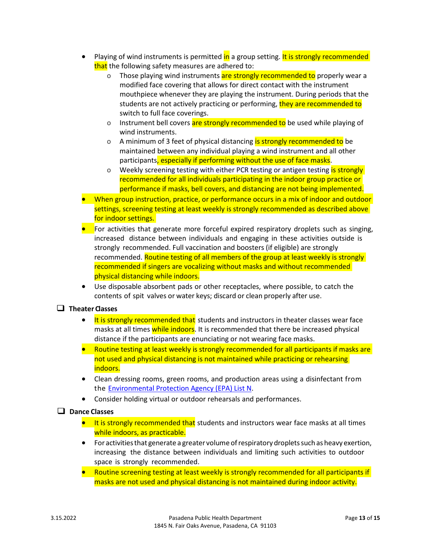- Playing of wind instruments is permitted in a group setting. It is strongly recommended that the following safety measures are adhered to:
	- o Those playing wind instruments are strongly recommended to properly wear a modified face covering that allows for direct contact with the instrument mouthpiece whenever they are playing the instrument. During periods that the students are not actively practicing or performing, they are recommended to switch to full face coverings.
	- o Instrument bell covers are strongly recommended to be used while playing of wind instruments.
	- o A minimum of 3 feet of physical distancing is strongly recommended to be maintained between any individual playing a wind instrument and all other participants, especially if performing without the use of face masks.
	- o Weekly screening testing with either PCR testing or antigen testing is strongly recommended for all individuals participating in the indoor group practice or performance if masks, bell covers, and distancing are not being implemented.
- When group instruction, practice, or performance occurs in a mix of indoor and outdoor settings, screening testing at least weekly is strongly recommended as described above for indoor settings.
- **For activities that generate more forceful expired respiratory droplets such as singing,** increased distance between individuals and engaging in these activities outside is strongly recommended. Full vaccination and boosters (if eligible) are strongly recommended. Routine testing of all members of the group at least weekly is strongly recommended if singers are vocalizing without masks and without recommended physical distancing while indoors.
- Use disposable absorbent pads or other receptacles, where possible, to catch the contents of spit valves or water keys; discard or clean properly after use.

# **Theater Classes**

- It is strongly recommended that students and instructors in theater classes wear face masks at all times while indoors. It is recommended that there be increased physical distance if the participants are enunciating or not wearing face masks.
- Routine testing at least weekly is strongly recommended for all participants if masks are not used and physical distancing is not maintained while practicing or rehearsing indoors.
- Clean dressing rooms, green rooms, and production areas using a disinfectant from the [Environmental Protection Agency \(EPA\) List N.](https://www.epa.gov/coronavirus/about-list-n-disinfectants-coronavirus-covid-19-0)
- Consider holding virtual or outdoor rehearsals and performances.

# **Dance Classes**

- $\bullet$  It is strongly recommended that students and instructors wear face masks at all times while indoors, as practicable.
- For activitiesthat generate a greater volume ofrespiratory dropletssuchas heavy exertion, increasing the distance between individuals and limiting such activities to outdoor space is strongly recommended.
- Routine screening testing at least weekly is strongly recommended for all participants if masks are not used and physical distancing is not maintained during indoor activity.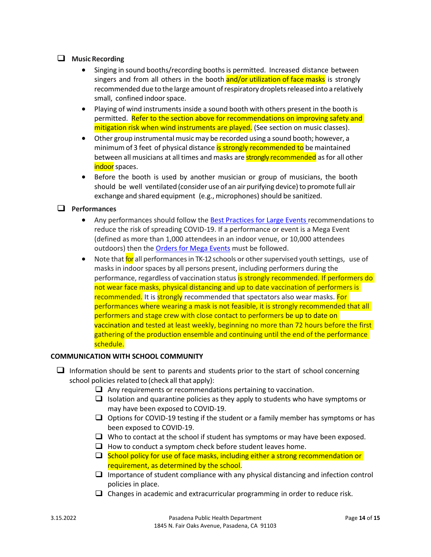# $\Box$  Music Recording

- Singing in sound booths/recording booths is permitted. Increased distance between singers and from all others in the booth and/or utilization of face masks is strongly recommended due to the large amount of respiratory droplets released into a relatively small, confined indoorspace.
- Playing of wind instruments inside a sound booth with others present in the booth is permitted. Refer to the section above for recommendations on improving safety and mitigation risk when wind instruments are played. (See section on music classes).
- Other group instrumental music may be recorded using a sound booth; however, a minimum of 3 feet of physical distance is strongly recommended to be maintained between all musicians at all times and masks are **strongly recommended** as for all other indoor spaces.
- Before the booth is used by another musician or group of musicians, the booth should be well ventilated (consider use of an air purifying device) to promote full air exchange and shared equipment (e.g., microphones) should be sanitized.

# **Performances**

- Any performances should follow th[e Best Practices for Large Events r](https://www.cityofpasadena.net/covid-19/reopening-businesses/#large-events)ecommendations to reduce the risk of spreading COVID-19. If a performance or event is a Mega Event (defined as more than 1,000 attendees in an indoor venue, or 10,000 attendees outdoors) then the [Orders for Mega Events](https://www.cityofpasadena.net/covid-19/#health-orders) must be followed.
- Note that for all performances in TK-12 schools or other supervised youth settings, use of masksin indoor spaces by all persons present, including performers during the performance, regardless of vaccination status is strongly recommended. If performers do not wear face masks, physical distancing and up to date vaccination of performers is recommended. It is strongly recommended that spectators also wear masks. For performances where wearing a mask is not feasible, it is strongly recommended that all performers and stage crew with close contact to performers be up to date on vaccination and tested at least weekly, beginning no more than 72 hours before the first gathering of the production ensemble and continuing until the end of the performance schedule.

# **COMMUNICATION WITH SCHOOL COMMUNITY**

- $\Box$  Information should be sent to parents and students prior to the start of school concerning school policies related to (check all that apply):
	- $\Box$  Any requirements or recommendations pertaining to vaccination.
	- $\Box$  Isolation and quarantine policies as they apply to students who have symptoms or may have been exposed to COVID-19.
	- $\Box$  Options for COVID-19 testing if the student or a family member has symptoms or has been exposed to COVID-19.
	- $\Box$  Who to contact at the school if student has symptoms or may have been exposed.
	- $\Box$  How to conduct a symptom check before student leaves home.
	- $\Box$  School policy for use of face masks, including either a strong recommendation or requirement, as determined by the school.
	- $\Box$  Importance of student compliance with any physical distancing and infection control policies in place.
	- $\Box$  Changes in academic and extracurricular programming in order to reduce risk.